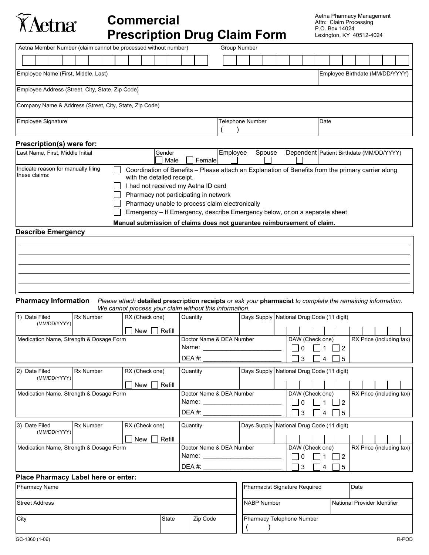# **Commercial Prescription Drug Claim Form**

Aetna Pharmacy Management Attn: Claim Processing P.O. Box 14024 Lexington, KY 40512-4024

| Aetna Member Number (claim cannot be processed without number) |                                                                                                                                                               | <b>Group Number</b>                                                                                                                                                              |                                            |
|----------------------------------------------------------------|---------------------------------------------------------------------------------------------------------------------------------------------------------------|----------------------------------------------------------------------------------------------------------------------------------------------------------------------------------|--------------------------------------------|
|                                                                |                                                                                                                                                               |                                                                                                                                                                                  |                                            |
| Employee Name (First, Middle, Last)                            |                                                                                                                                                               |                                                                                                                                                                                  | Employee Birthdate (MM/DD/YYYY)            |
| Employee Address (Street, City, State, Zip Code)               |                                                                                                                                                               |                                                                                                                                                                                  |                                            |
| Company Name & Address (Street, City, State, Zip Code)         |                                                                                                                                                               |                                                                                                                                                                                  |                                            |
| Employee Signature                                             |                                                                                                                                                               | <b>Telephone Number</b>                                                                                                                                                          | Date                                       |
| Prescription(s) were for:                                      |                                                                                                                                                               |                                                                                                                                                                                  |                                            |
| Last Name, First, Middle Initial                               | Gender<br>Female<br>Male                                                                                                                                      | Employee<br>Spouse                                                                                                                                                               | Dependent   Patient Birthdate (MM/DD/YYYY) |
| Indicate reason for manually filing<br>these claims:           | with the detailed receipt.<br>I had not received my Aetna ID card<br>Pharmacy not participating in network<br>Pharmacy unable to process claim electronically | Coordination of Benefits – Please attach an Explanation of Benefits from the primary carrier along<br>Emergency – If Emergency, describe Emergency below, or on a separate sheet |                                            |

**Manual submission of claims does not guarantee reimbursement of claim.** 

#### **Describe Emergency**

TAetna®

 

#### **Pharmacy Information** *Please attach* **detailed prescription receipts** *or ask your* **pharmacist** *to complete the remaining information. We cannot process your claim without this information*.

| 1) Date Filed<br>(MM/DD/YYYY)                     | <b>Rx Number</b> | RX (Check one)                                                                                                                                                                                                                                            | Quantity                      |                                           | Days Supply National Drug Code (11 digit)                                                    |                 |                                             |             |                |                          |  |  |  |  |
|---------------------------------------------------|------------------|-----------------------------------------------------------------------------------------------------------------------------------------------------------------------------------------------------------------------------------------------------------|-------------------------------|-------------------------------------------|----------------------------------------------------------------------------------------------|-----------------|---------------------------------------------|-------------|----------------|--------------------------|--|--|--|--|
|                                                   |                  | Refill<br>New II                                                                                                                                                                                                                                          |                               |                                           |                                                                                              |                 |                                             |             |                |                          |  |  |  |  |
| Medication Name, Strength & Dosage Form           |                  | Doctor Name & DEA Number<br>Name: and the state of the state of the state of the state of the state of the state of the state of the state of the state of the state of the state of the state of the state of the state of the state of the state of the |                               |                                           | $\begin{array}{c} \square \end{array}$                                                       | DAW (Check one) |                                             | $\mathbf 1$ | $\vert$ 2      | RX Price (including tax) |  |  |  |  |
|                                                   |                  |                                                                                                                                                                                                                                                           | $DEA \#$                      |                                           |                                                                                              | $\mathbf{L}$    | 3                                           |             | 4              | 5                        |  |  |  |  |
| <b>Rx Number</b><br>2) Date Filed<br>(MM/DD/YYYY) |                  | RX (Check one)                                                                                                                                                                                                                                            | Quantity                      | Days Supply National Drug Code (11 digit) |                                                                                              |                 |                                             |             |                |                          |  |  |  |  |
|                                                   |                  | Refill<br>New I                                                                                                                                                                                                                                           |                               |                                           |                                                                                              |                 |                                             |             |                |                          |  |  |  |  |
| Medication Name, Strength & Dosage Form           |                  | Doctor Name & DEA Number                                                                                                                                                                                                                                  |                               |                                           | DAW (Check one)<br>RX Price (including tax)<br>$\vert$ $\vert$ 0<br>$\mathbf 1$<br>$\vert$ 2 |                 |                                             |             |                |                          |  |  |  |  |
|                                                   |                  |                                                                                                                                                                                                                                                           |                               |                                           |                                                                                              | $\mathbf{L}$    | $\overline{3}$                              |             | $\overline{4}$ | 5                        |  |  |  |  |
| Rx Number<br>3) Date Filed<br>(MM/DD/YYYY)        |                  | RX (Check one)                                                                                                                                                                                                                                            | Quantity                      |                                           |                                                                                              |                 | Days Supply   National Drug Code (11 digit) |             |                |                          |  |  |  |  |
|                                                   |                  | Refill<br>New II                                                                                                                                                                                                                                          |                               |                                           |                                                                                              |                 |                                             |             |                |                          |  |  |  |  |
| Medication Name, Strength & Dosage Form           |                  | Doctor Name & DEA Number                                                                                                                                                                                                                                  |                               |                                           | DAW (Check one)<br>$\begin{array}{c} \square \end{array}$<br>$\mathbf 1$<br>$\vert$ 2        |                 |                                             |             |                | RX Price (including tax) |  |  |  |  |
|                                                   |                  |                                                                                                                                                                                                                                                           | DEA#:                         |                                           |                                                                                              |                 | 3                                           |             | $\overline{4}$ | -5                       |  |  |  |  |
| Place Pharmacy Label here or enter:               |                  |                                                                                                                                                                                                                                                           |                               |                                           |                                                                                              |                 |                                             |             |                |                          |  |  |  |  |
| <b>Pharmacy Name</b>                              |                  |                                                                                                                                                                                                                                                           | Pharmacist Signature Required |                                           |                                                                                              |                 |                                             | Date        |                |                          |  |  |  |  |

| Street Address |       |          | NABP Number               | National Provider Identifier |
|----------------|-------|----------|---------------------------|------------------------------|
| City           | State | Zip Code | Pharmacy Telephone Number |                              |